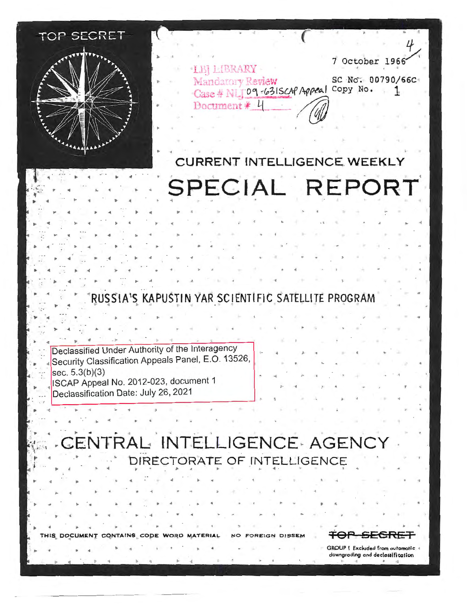

► ◄ .. ◄ ►

► ~ ► ◄ ,. ◄ ► ◄ ►

► ◄ • ◄

,,. ► ◄ ◄

► ◄ . ► ◄ •

► ◄ ◄ ► .. ◄ ..

► •

► ◄

► ◄ ► ◄

►

*4*  7 October 1966 LBJ LIBRARY Mandatory Review SC No. 00790/66C Case # N 109-631SCAP Appeal Copy No. Ţ, Document  $*$ 

# **CURRENT INTELLIGENCE WEEKLY** SPECIAL REPORT

RUSSIA'S KAPUSTIN YAR SCIENTIFIC SATELLITE PROGRAM

 $\mathbf{F} = \mathbf{F} + \mathbf{F} + \mathbf{F} + \mathbf{F} + \mathbf{F} + \mathbf{F} + \mathbf{F} + \mathbf{F} + \mathbf{F} + \mathbf{F} + \mathbf{F} + \mathbf{F} + \mathbf{F} + \mathbf{F} + \mathbf{F} + \mathbf{F} + \mathbf{F} + \mathbf{F} + \mathbf{F} + \mathbf{F} + \mathbf{F} + \mathbf{F} + \mathbf{F} + \mathbf{F} + \mathbf{F} + \mathbf{F} + \mathbf{F} + \mathbf{F} + \mathbf{F} + \mathbf{F} + \mathbf$ 

Declassified Under Authority of the lnteragency ◄ Security Classification Appeals Panel, E.O. 13526, sec. 5.3(b)(3) ISCAP Appeal No. 2012-023, document 1 ► Declassification Date: July 26, 2021

.

◄

► ◄ ► **.c** ► ◄ •

। अधिक साथ के साथ को साथ करने के साथ को साथ करने के साथ करने के साथ करने के साथ करने की साथ करने की साथ करने<br>साथ साथ करने के साथ करने करने करने करने के साथ करने की साथ करने की साथ करने की साथ करने की साथ करने की साथ कर

CENTRAL INTELLIGENCE AGENCY DIRECTORATE OF INTELLIGENCE

► ◄ . ► ..

THIS DOCUMENT CONTAINS CODE WORD MATERIAL NO FOREIGN DISSEM **TOP SECRE** 

,. **GROUP** I **Excluded from automatic**  downgrading and declassification

◄ . . .. ..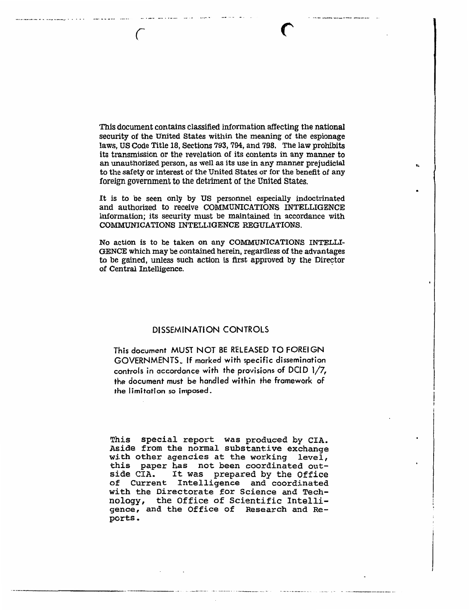This document contains classified information affecting the national security of the United States within the meaning of the espionage laws, US Code Title 18, Sections 793, 794, and 798. The law prohibits its transmission or the revelation of its contents in any manner to an unauthorized person, as well as its use in any manner prejudicial to the safety or interest of the United States or for the benefit of any foreign government to the detriment of the United States.

It is to be seen only by US personnel especially indoctrinated and authorized to receive COMMUNICATIONS INTELLIGENCE information; its security must be maintained in accordance with COMMUNICATIONS INTELLIGENCE REGULATIONS.

No action is to be taken on any Communications INTELLI-GENCE which may be contained herein, regardless of the advantages to be gained, unless such action is first approved by the Director of Central Intelligence.

### DISSEMINATION CONTROLS

This document MUST NOT BE RELEASED TO FOREIGN GOVERNMENTS. If marked with specific dissemination controls in accordance with the provisions of DCID 1/7, the document must be handled within the framework of the Iimitation so imposed .

This special report was produced by CIA. Aside from the normal substantive exchange with other agencies at the working level, this paper has not been coordinated out-It was prepared by the Office of Current Intelligence and coordinated with the Directorate for Science and Tech-<br>nology, the Office of Scientific Intellithe Office of Scientific Intelligence, and the Office of Research and Reports.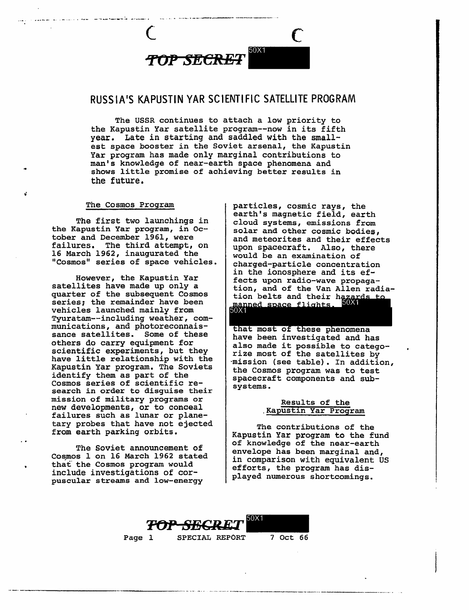

-

## RUSSIA'S KAPUSTIN YAR SCIENTIFIC SATELLITE PROGRAM

The USSR continues to attach a low priority to the Kapustin Yar satellite program--now in its fifth year. Late in starting and saddled with the smallest space booster in the Soviet arsenal, the Kapustin Yar program has made only marginal contributions to man's knowledge of near-earth space phenomena and shows little promise of achieving better results in the future.

The first two launchings in cloud systems, emissions from<br>the Kapustin Yar program, in Oc-<br>solar and other cosmic bodies, tober and December 1961, were and meteorites and their effects<br>failures. The third attempt, on 16 March 1962, inaugurated the would be an examination of 16 March 1962, inaugurated the would be an examination of "Cosmos" series of space vehicles. <br>"Cosmos" series of space vehicles. charged-particle concentration

quarter of the subsequent Cosmos series; the remainder have been vehicles launched mainly from Tyuratam--including weather, com munications, and photoreconnais-<br>sance satellites. Some of these others do carry equipment for<br>scientific experiments, but they<br>have little relationship with the<br>Kapustin Yar program. The Soviets<br>identify them as part of the<br>Cosmos series of scientific re-<br>search in order to disguise th mission of military programs or Results of the new developments, or to conceal Results of the Results of the new developments, or to conceal<br>failures such as lunar or plane-<br>tary probes that have not ejected

The Cosmos Program | particles, cosmic rays, the earth's magnetic field, earth "Cosmos" series of space vehicles.<br>
in the ionosphere and its ef-However, the Kapustin Yar fects upon radio-wave propaga-<br>satellites have made up only a tion, and of the Van Allen radiation belts and their hazards to<br>manned space flights. 50X1

that most of these phenomena<br>have been investigated and has

tary probes that have not ejected The contributions of the<br>from earth parking orbits.<br>The contributions of the fund<br>of knowledge of the near-earth The Soviet announcement of<br>
Cosmos 1 on 16 March 1962 stated<br>
that the Cosmos program would<br>
include investigations of cor-<br>
puscular streams and low-energy<br>
and low-energy<br>
played numerous shortcomings.



Page 1 SPECIAL REPORT 7 Oct 66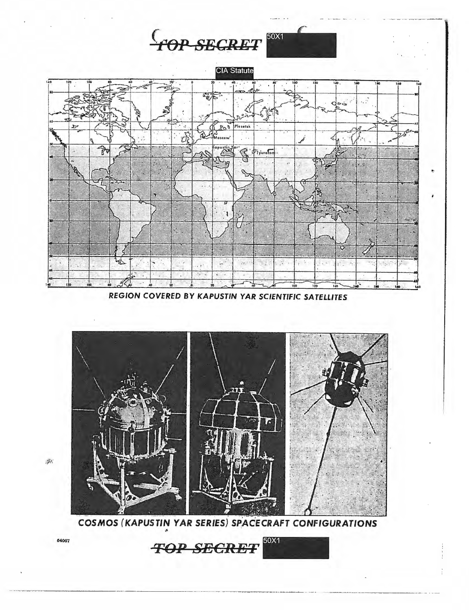





REGION COVERED BY KAPUSTIN YAR SCIENTIFIC SATELLITES



COSMOS (KAPUSTIN YAR SERIES) SPACECRAFT CONFIGURATIONS

50X1 **TOP SECRET** 

 $\frac{\sqrt{2}}{2}$ 

64067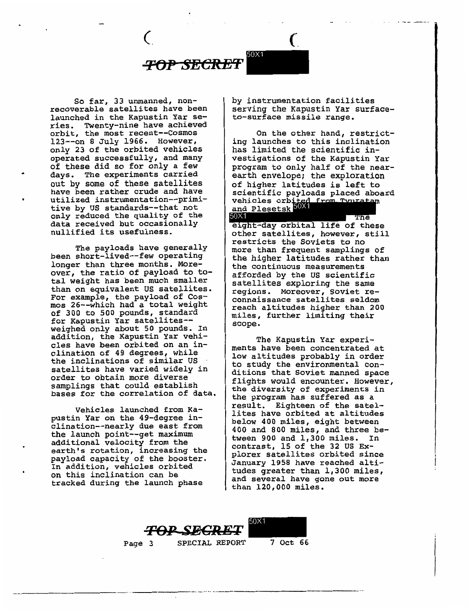

So far, 33 unmanned, nonrecoverable satellites have been launched in the Kapustin Yar series. Twenty-nine have achieved orbit, the most recent--Cosmos 123--on 8 July 1966. However, only 23 of the orbited vehicles operated successfully, and many of these did so for only a few days. The experiments carried out by some of these satellites have been rather crude and have utilized instrumentation--primitive by US standards--that not only reduced the quality of the data received but occasionally nullified its usefulness.

The payloads have generally been short-lived--few operating longer than three months. Moreover, the ratio of payload to total weight has been much smaller than on equivalent US satellites. For example, the payload of Cosmos 26--which had a total weight of 300 to 500 pounds, standard for Kapustin Yar satellites weighed only about 50 pounds. In addition, the Kapustin Yar vehicles have been orbited on an inclination of 49 degrees, while the inclinations of similar US<br>satellites have varied widely in order to obtain more diverse samplings that could establish bases for the correlation of data.

Vehicles launched from Kapustin Yar on the 49-degree inclination--nearly due east from the launch point--get maximum additional velocity from the earth's rotation, increasing the payload capacity of the booster. In addition, vehicles orbited on this inclination can be tracked during the launch phase

by instrumentation facilities serving the Kapustin Yar surfaceto-surface missile range.

On the other hand, restricting launches to this inclination has limited the scientific investigations of the Kapustin Yar program to only half of the nearearth envelope; the exploration of higher latitudes is left to scientific payloads placed aboard vehicles orbi and Plesetsk

The eight-day orbital life of these other satellites, however, still restricts the Soviets to no more than frequent samplings of the higher latitudes rather than the continuous measurements afforded by the us scientific satellites exploring the same regions. Moreover, Soviet reconnaissance satellites seldom reach altitudes higher than 200 miles, further limiting their scope.

The Kapustin Yar experiments have been concentrated at low altitudes probably in order to study the environmental conditions that Soviet manned space flights would encounter. However, the diversity of experiments in the program has suffered as a result. Eighteen of the satellites have orbited at altitudes below 400 miles, eight between 400 and 800 miles, and three between 900 and 1,300 miles. In contrast, 15 of the 32 US Explorer satellites orbited since January 1958 have reached altitudes greater than 1,300 miles, and several have gone out more than 120,000 miles.





Page 3 SPECIAL REPORT 7 Oct 66